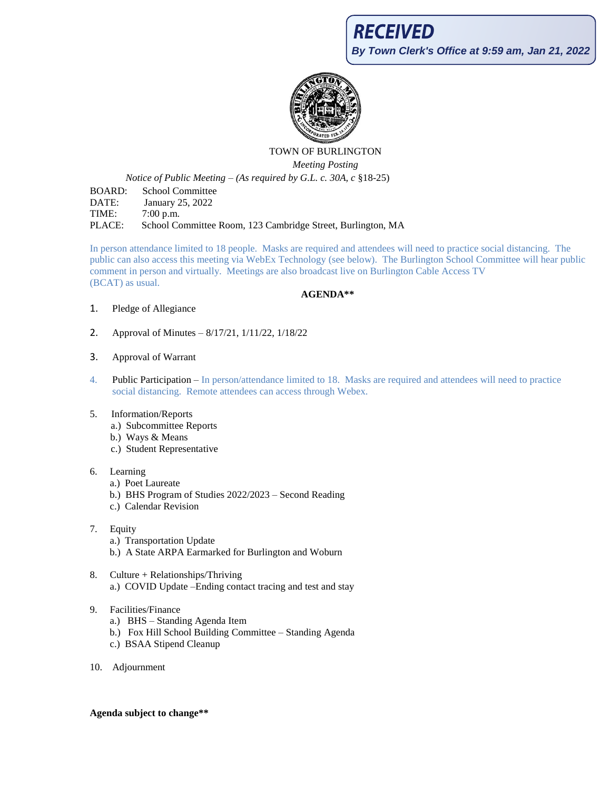

## TOWN OF BURLINGTON *Meeting Posting*

*Notice of Public Meeting – (As required by G.L. c. 30A, c* §18-25)

BOARD: School Committee DATE: January 25, 2022 TIME: 7:00 p.m. PLACE: School Committee Room, 123 Cambridge Street, Burlington, MA

In person attendance limited to 18 people. Masks are required and attendees will need to practice social distancing. The public can also access this meeting via WebEx Technology (see below). The Burlington School Committee will hear public comment in person and virtually. Meetings are also broadcast live on Burlington Cable Access TV (BCAT) as usual.

## **AGENDA\*\***

- 1. Pledge of Allegiance
- 2. Approval of Minutes 8/17/21, 1/11/22, 1/18/22
- 3. Approval of Warrant
- 4. Public Participation In person/attendance limited to 18. Masks are required and attendees will need to practice social distancing. Remote attendees can access through Webex.
- 5. Information/Reports
	- a.) Subcommittee Reports
	- b.) Ways & Means
	- c.) Student Representative
- 6. Learning
	- a.) Poet Laureate
	- b.) BHS Program of Studies 2022/2023 Second Reading
	- c.) Calendar Revision
- 7. Equity
	- a.) Transportation Update
	- b.) A State ARPA Earmarked for Burlington and Woburn
- 8. Culture + Relationships/Thriving a.) COVID Update –Ending contact tracing and test and stay
- 9. Facilities/Finance
	- a.) BHS Standing Agenda Item
	- b.) Fox Hill School Building Committee Standing Agenda
	- c.) BSAA Stipend Cleanup
- 10. Adjournment

## **Agenda subject to change\*\***